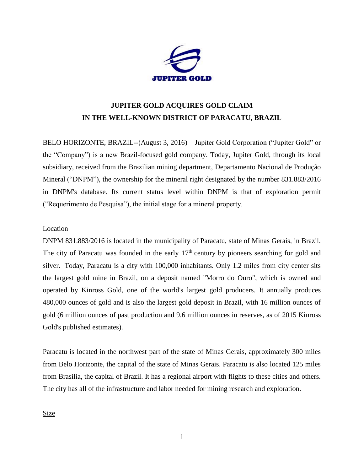

# **JUPITER GOLD ACQUIRES GOLD CLAIM IN THE WELL-KNOWN DISTRICT OF PARACATU, BRAZIL**

BELO HORIZONTE, BRAZIL--(August 3, 2016) – Jupiter Gold Corporation ("Jupiter Gold" or the "Company") is a new Brazil-focused gold company. Today, Jupiter Gold, through its local subsidiary, received from the Brazilian mining department, Departamento Nacional de Produção Mineral ("DNPM"), the ownership for the mineral right designated by the number 831.883/2016 in DNPM's database. Its current status level within DNPM is that of exploration permit ("Requerimento de Pesquisa"), the initial stage for a mineral property.

# Location

DNPM 831.883/2016 is located in the municipality of Paracatu, state of Minas Gerais, in Brazil. The city of Paracatu was founded in the early  $17<sup>th</sup>$  century by pioneers searching for gold and silver. Today, Paracatu is a city with 100,000 inhabitants. Only 1.2 miles from city center sits the largest gold mine in Brazil, on a deposit named "Morro do Ouro", which is owned and operated by Kinross Gold, one of the world's largest gold producers. It annually produces 480,000 ounces of gold and is also the largest gold deposit in Brazil, with 16 million ounces of gold (6 million ounces of past production and 9.6 million ounces in reserves, as of 2015 Kinross Gold's published estimates).

Paracatu is located in the northwest part of the state of Minas Gerais, approximately 300 miles from Belo Horizonte, the capital of the state of Minas Gerais. Paracatu is also located 125 miles from Brasilia, the capital of Brazil. It has a regional airport with flights to these cities and others. The city has all of the infrastructure and labor needed for mining research and exploration.

Size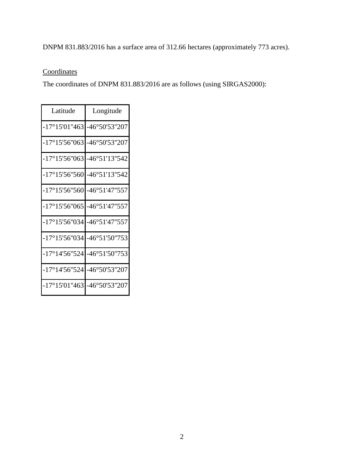# DNPM 831.883/2016 has a surface area of 312.66 hectares (approximately 773 acres).

# **Coordinates**

The coordinates of DNPM 831.883/2016 are as follows (using SIRGAS2000):

| Latitude                                        | Longitude               |
|-------------------------------------------------|-------------------------|
| $-17^{\circ}15'01''463$                         | $-46^{\circ}50'53''207$ |
| $-17^{\circ}15'56''063$                         | $-46^{\circ}50'53''207$ |
| $-17^{\circ}15'56''063$                         | $-46^{\circ}51'13''542$ |
| $-17^{\circ}15'56''560$                         | $-46°51'13"542$         |
| $-17^{\circ}15'56''560$                         | -46°51'47"557           |
| $-17^{\circ}15'56''065$                         | -46°51'47"557           |
| $-17^{\circ}15'56''034$ $-46^{\circ}51'47''557$ |                         |
| $-17^{\circ}15'56''034$                         | -46°51'50"753           |
| $-17^{\circ}14'56''524$                         | -46°51'50"753           |
| $-17^{\circ}14'56''524$                         | $-46^{\circ}50'53''207$ |
| $-17^{\circ}15'01''463$                         | l-46°50'53''207         |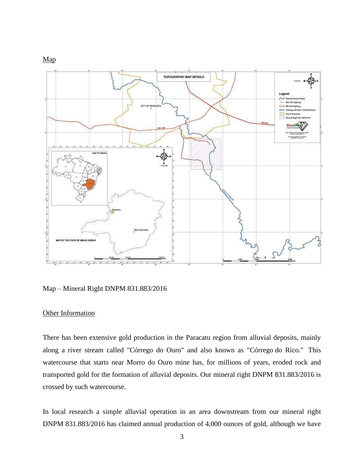



Map – Mineral Right DNPM 831.883/2016

#### Other Information

There has been extensive gold production in the Paracatu region from alluvial deposits, mainly along a river stream called "Córrego do Ouro" and also known as "Córrego do Rico." This watercourse that starts near Morro do Ouro mine has, for millions of years, eroded rock and transported gold for the formation of alluvial deposits. Our mineral right DNPM 831.883/2016 is crossed by such watercourse.

In local research a simple alluvial operation in an area downstream from our mineral right DNPM 831.883/2016 has claimed annual production of 4,000 ounces of gold, although we have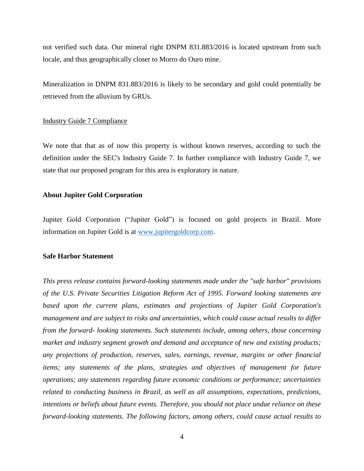not verified such data. Our mineral right DNPM 831.883/2016 is located upstream from such locale, and thus geographically closer to Morro do Ouro mine.

Mineralization in DNPM 831.883/2016 is likely to be secondary and gold could potentially be retrieved from the alluvium by GRUs.

### Industry Guide 7 Compliance

We note that that as of now this property is without known reserves, according to such the definition under the SEC's Industry Guide 7. In further compliance with Industry Guide 7, we state that our proposed program for this area is exploratory in nature.

# **About Jupiter Gold Corporation**

Jupiter Gold Corporation ("Jupiter Gold") is focused on gold projects in Brazil. More information on Jupiter Gold is at [www.jupitergoldcorp.com.](../../../../../../../../../../../../../../../Downloads/www.jupitergoldcorp.com)

## **Safe Harbor Statement**

*This press release contains forward-looking statements made under the "safe harbor" provisions of the U.S. Private Securities Litigation Reform Act of 1995. Forward looking statements are based upon the current plans, estimates and projections of Jupiter Gold Corporation's management and are subject to risks and uncertainties, which could cause actual results to differ from the forward- looking statements. Such statements include, among others, those concerning market and industry segment growth and demand and acceptance of new and existing products; any projections of production, reserves, sales, earnings, revenue, margins or other financial items; any statements of the plans, strategies and objectives of management for future operations; any statements regarding future economic conditions or performance; uncertainties related to conducting business in Brazil, as well as all assumptions, expectations, predictions, intentions or beliefs about future events. Therefore, you should not place undue reliance on these forward-looking statements. The following factors, among others, could cause actual results to*